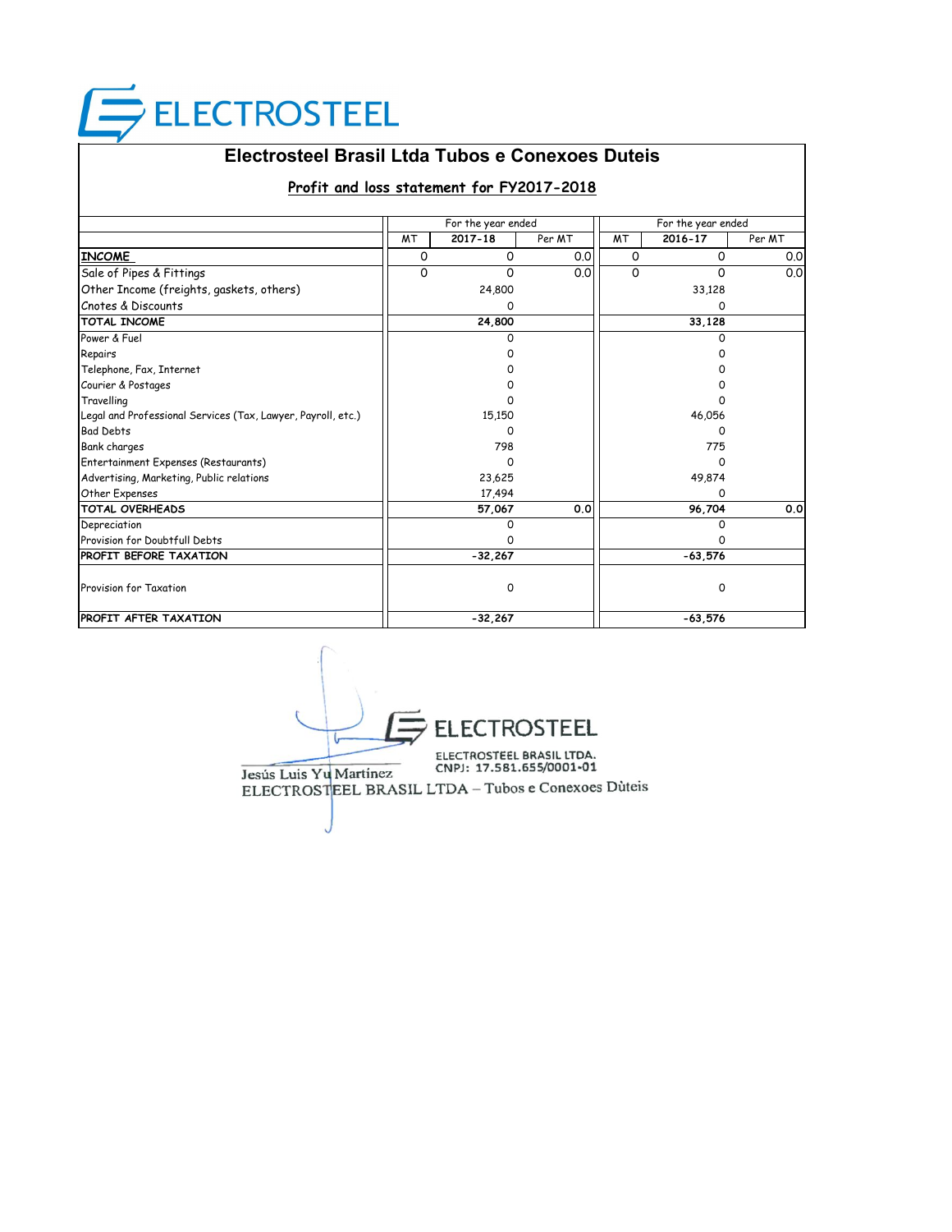# **ELECTROSTEEL**

## **Electrosteel Brasil Ltda Tubos e Conexoes Duteis**

#### **Profit and loss statement for FY2017-2018**

|                                                              |           | For the year ended |        | For the year ended |           |        |
|--------------------------------------------------------------|-----------|--------------------|--------|--------------------|-----------|--------|
|                                                              | <b>MT</b> | 2017-18            | Per MT | <b>MT</b>          | 2016-17   | Per MT |
| <b>INCOME</b>                                                | 0         | $\Omega$           | 0.0    | 0                  | 0         | 0.0    |
| Sale of Pipes & Fittings                                     | 0         | 0                  | 0.0    | O                  | $\Omega$  | 0.0    |
| Other Income (freights, gaskets, others)                     |           | 24,800             |        |                    | 33,128    |        |
| Cnotes & Discounts                                           |           | 0                  |        |                    | ი         |        |
| <b>TOTAL INCOME</b>                                          |           | 24,800             |        |                    | 33,128    |        |
| Power & Fuel                                                 |           | O                  |        |                    | n         |        |
| Repairs                                                      |           |                    |        |                    |           |        |
| Telephone, Fax, Internet                                     |           |                    |        |                    |           |        |
| Courier & Postages                                           |           |                    |        |                    |           |        |
| Travelling                                                   |           |                    |        |                    |           |        |
| Legal and Professional Services (Tax, Lawyer, Payroll, etc.) |           | 15,150             |        |                    | 46,056    |        |
| <b>Bad Debts</b>                                             |           | O                  |        |                    |           |        |
| <b>Bank charges</b>                                          |           | 798                |        |                    | 775       |        |
| Entertainment Expenses (Restaurants)                         |           | O                  |        |                    | n         |        |
| Advertising, Marketing, Public relations                     |           | 23,625             |        |                    | 49,874    |        |
| Other Expenses                                               |           | 17,494             |        |                    | 0         |        |
| <b>TOTAL OVERHEADS</b>                                       |           | 57,067             | 0.0    |                    | 96,704    | 0.0    |
| Depreciation                                                 |           | 0                  |        |                    | 0         |        |
| Provision for Doubtfull Debts                                |           | O                  |        |                    | O         |        |
| <b>PROFIT BEFORE TAXATION</b>                                |           | $-32,267$          |        |                    | $-63,576$ |        |
| Provision for Taxation                                       |           | 0                  |        |                    | 0         |        |
| <b>PROFIT AFTER TAXATION</b>                                 |           | $-32,267$          |        |                    | $-63.576$ |        |

EL ELEC<sup>.</sup> ELECTROSTEEL BRASIL LTDA.<br>CNPJ: 17.581.655/0001-01 Jesús Luis Yu Martínez ELECTROSTEEL BRASIL LTDA - Tubos e Conexoes Dùteis